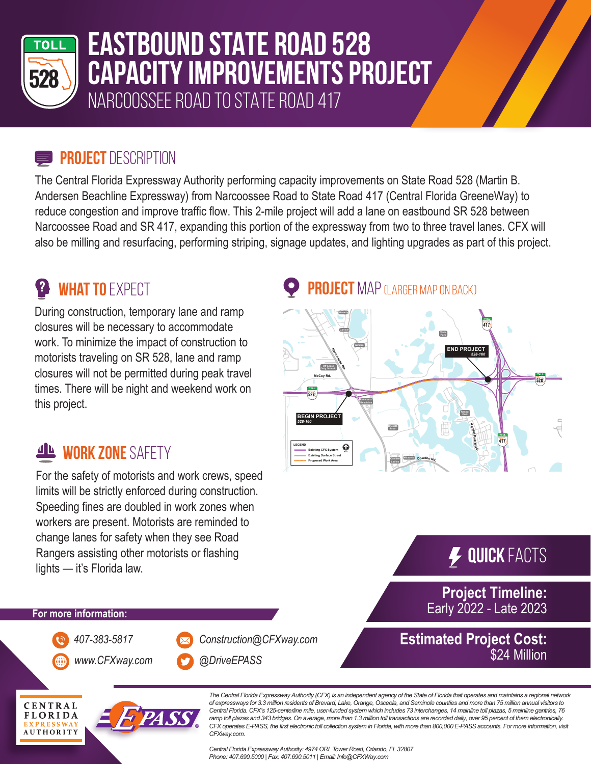

# **EASTBOUND STATE ROAD 528 CAPACITY IMPROVEMENTS PROJECT** NARCOOSSEE ROAD TO STATE ROAD 417

#### **PROJECT** DESCRIPTION

The Central Florida Expressway Authority performing capacity improvements on State Road 528 (Martin B. Andersen Beachline Expressway) from Narcoossee Road to State Road 417 (Central Florida GreeneWay) to reduce congestion and improve traffic flow. This 2-mile project will add a lane on eastbound SR 528 between Narcoossee Road and SR 417, expanding this portion of the expressway from two to three travel lanes. CFX will also be milling and resurfacing, performing striping, signage updates, and lighting upgrades as part of this project.

## **<sup>2</sup> WHAT TO** EXPECT

During construction, temporary lane and ramp closures will be necessary to accommodate work. To minimize the impact of construction to motorists traveling on SR 528, lane and ramp closures will not be permitted during peak travel times. There will be night and weekend work on this project.

### **WORK ZONE SAFFTY**

For the safety of motorists and work crews, speed limits will be strictly enforced during construction. Speeding fines are doubled in work zones when workers are present. Motorists are reminded to change lanes for safety when they see Road Rangers assisting other motorists or flashing lights — it's Florida law.

#### **PROJECT** MAP (LARGER MAP ON BACK)



## **Quick** Facts

**Project Timeline:** Early 2022 - Late 2023

\$24 Million

#### **For more information:**

*www.CFXway.com @DriveEPASS*

*407-383-5817 Construction@CFXway.com*



*The Central Florida Expressway Authority (CFX) is an independent agency of the State of Florida that operates and maintains a regional network of expressways for 3.3 million residents of Brevard, Lake, Orange, Osceola, and Seminole counties and more than 75 million annual visitors to*  Central Florida. CFX's 125-centerline mile, user-funded system which includes 73 interchanges, 14 mainline toll plazas, 5 mainline gantries, 76 ramp toll plazas and 343 bridges. On average, more than 1.3 million toll transactions are recorded daily, over 95 percent of them electronically. CFX operates E-PASS, the first electronic toll collection system in Florida, with more than 800,000 E-PASS accounts. For more information, visit *CFXway.com.* 

*Central Florida ExpresswayAuthority: 4974 ORLTower Road, Orlando, FL 32807 Phone: 407.690.5000 | Fax: 407.690.5011 | Email: Info@CFXWay.com*

**Estimated Project Cost:**